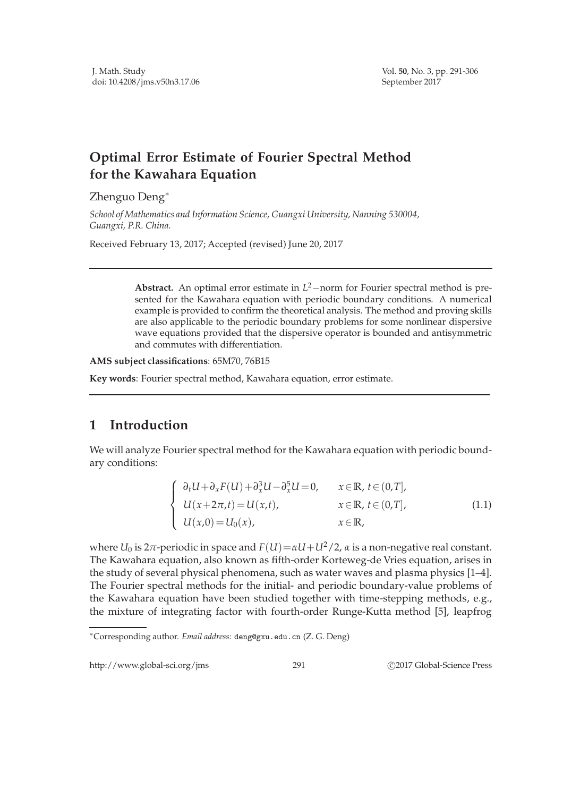## **Optimal Error Estimate of Fourier Spectral Method for the Kawahara Equation**

Zhenguo Deng∗

*School of Mathematics and Information Science, Guangxi University, Nanning 530004, Guangxi, P.R. China.*

Received February 13, 2017; Accepted (revised) June 20, 2017

**Abstract.** An optimal error estimate in *L* <sup>2</sup>−norm for Fourier spectral method is presented for the Kawahara equation with periodic boundary conditions. A numerical example is provided to confirm the theoretical analysis. The method and proving skills are also applicable to the periodic boundary problems for some nonlinear dispersive wave equations provided that the dispersive operator is bounded and antisymmetric and commutes with differentiation.

**AMS subject classifications**: 65M70, 76B15

**Key words**: Fourier spectral method, Kawahara equation, error estimate.

## **1 Introduction**

We will analyze Fourier spectral method for the Kawahara equation with periodic boundary conditions:

$$
\begin{cases}\n\partial_t U + \partial_x F(U) + \partial_x^3 U - \partial_x^5 U = 0, & x \in \mathbb{R}, t \in (0, T], \\
U(x + 2\pi, t) = U(x, t), & x \in \mathbb{R}, t \in (0, T], \\
U(x, 0) = U_0(x), & x \in \mathbb{R},\n\end{cases}
$$
\n(1.1)

where  $U_0$  is  $2\pi$ -periodic in space and  $F(U) = \alpha U + U^2/2$ ,  $\alpha$  is a non-negative real constant. The Kawahara equation, also known as fifth-order Korteweg-de Vries equation, arises in the study of several physical phenomena, such as water waves and plasma physics [1–4]. The Fourier spectral methods for the initial- and periodic boundary-value problems of the Kawahara equation have been studied together with time-stepping methods, e.g., the mixture of integrating factor with fourth-order Runge-Kutta method [5], leapfrog

http://www.global-sci.org/jms 291 
291 
C 2017 Global-Science Press

<sup>∗</sup>Corresponding author. *Email address:* deng@gxu.edu.cn (Z. G. Deng)